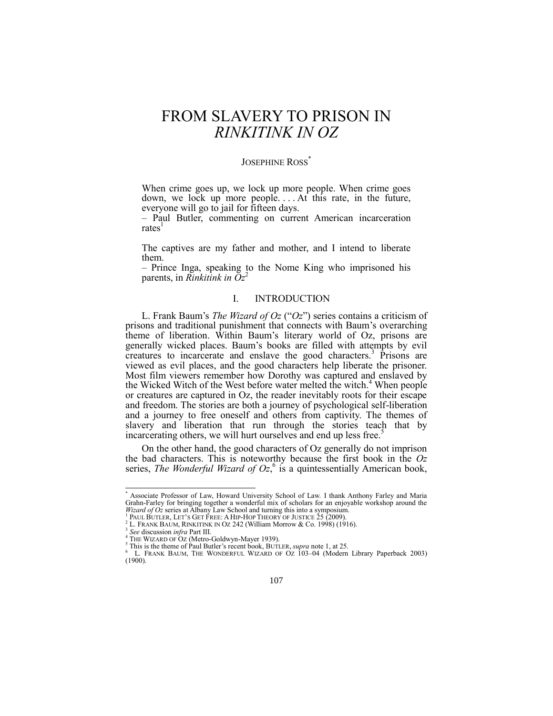# FROM SLAVERY TO PRISON IN *RINKITINK IN OZ*

## JOSEPHINE ROSS<sup>\*</sup>

When crime goes up, we lock up more people. When crime goes down, we lock up more people... At this rate, in the future, everyone will go to jail for fifteen days.

<span id="page-0-3"></span>– Paul Butler, commenting on current American incarceration  $rates<sup>1</sup>$ 

The captives are my father and mother, and I intend to liberate them.

– Prince Inga, speaking to the Nome King who imprisoned his parents, in *Rinkitink in*  $Oz^2$ 

## <span id="page-0-2"></span><span id="page-0-0"></span>I. INTRODUCTION

L. Frank Baum's *The Wizard of Oz* ("Oz") series contains a criticism of prisons and traditional punishment that connects with Baum's overarching theme of liberation. Within Baum's literary world of Oz, prisons are generally wicked places. Baum's books are filled with attempts by evil creatures to incarcerate and enslave the good characters.<sup>3</sup> Prisons are viewed as evil places, and the good characters help liberate the prisoner. Most film viewers remember how Dorothy was captured and enslaved by the Wicked Witch of the West before water melted the witch.<sup>4</sup> When people or creatures are captured in Oz, the reader inevitably roots for their escape and freedom. The stories are both a journey of psychological self-liberation and a journey to free oneself and others from captivity. The themes of slavery and liberation that run through the stories teach that by incarcerating others, we will hurt ourselves and end up less free.<sup>5</sup>

<span id="page-0-1"></span>On the other hand, the good characters of Oz generally do not imprison the bad characters. This is noteworthy because the first book in the *Oz* series, *The Wonderful Wizard of Oz*,<sup>6</sup> is a quintessentially American book,

<sup>\*</sup> Associate Professor of Law, Howard University School of Law. I thank Anthony Farley and Maria Grahn-Farley for bringing together a wonderful mix of scholars for an enjoyable workshop around the *Wizard of Oz* series at Albany Law School and turning this into a symposium.

PAUL BUTLER, LET'S GET FREE: A HIP-HOP THEORY OF JUSTICE 25 (2009).

<sup>&</sup>lt;sup>2</sup> L. FRANK BAUM, RINKITINK IN OZ 242 (William Morrow & Co. 1998) (1916).

<sup>3</sup> *See* discussion *infra* Part III.

<sup>&</sup>lt;sup>4</sup> THE WIZARD OF OZ (Metro-Goldwyn-Mayer 1939).

<sup>&</sup>lt;sup>5</sup> This is the theme of Paul Butler's recent book, BUTLER, *supra* note 1, at 25.

L. FRANK BAUM, THE WONDERFUL WIZARD OF OZ 103–04 (Modern Library Paperback 2003) (1900).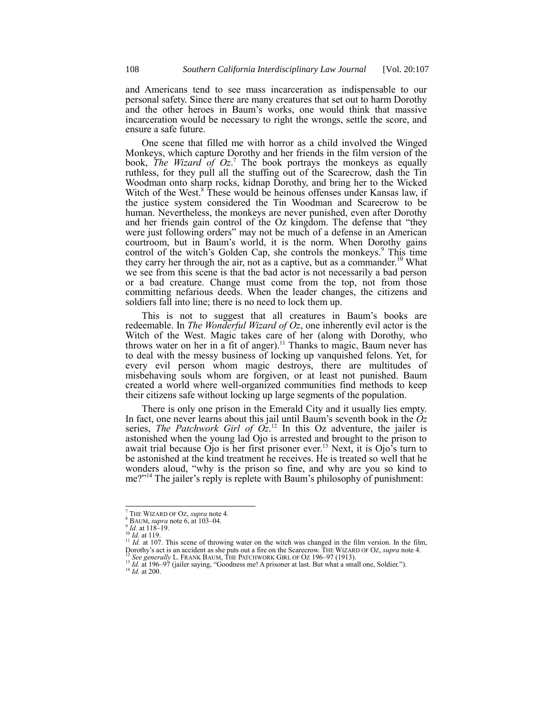and Americans tend to see mass incarceration as indispensable to our personal safety. Since there are many creatures that set out to harm Dorothy and the other heroes in Baum's works, one would think that massive incarceration would be necessary to right the wrongs, settle the score, and ensure a safe future.

One scene that filled me with horror as a child involved the Winged Monkeys, which capture Dorothy and her friends in the film version of the book, *The Wizard of Oz*. <sup>7</sup> The book portrays the monkeys as equally ruthless, for they pull all the stuffing out of the Scarecrow, dash the Tin Woodman onto sharp rocks, kidnap Dorothy, and bring her to the Wicked Witch of the West.<sup>8</sup> These would be heinous offenses under Kansas law, if the justice system considered the Tin Woodman and Scarecrow to be human. Nevertheless, the monkeys are never punished, even after Dorothy and her friends gain control of the Oz kingdom. The defense that "they were just following orders" may not be much of a defense in an American courtroom, but in Baum's world, it is the norm. When Dorothy gains control of the witch's Golden Cap, she controls the monkeys.<sup>9</sup> This time they carry her through the air, not as a captive, but as a commander.<sup>10</sup> What we see from this scene is that the bad actor is not necessarily a bad person or a bad creature. Change must come from the top, not from those committing nefarious deeds. When the leader changes, the citizens and soldiers fall into line; there is no need to lock them up.

This is not to suggest that all creatures in Baum's books are redeemable. In *The Wonderful Wizard of Oz*, one inherently evil actor is the Witch of the West. Magic takes care of her (along with Dorothy, who throws water on her in a fit of anger). <sup>11</sup> Thanks to magic, Baum never has to deal with the messy business of locking up vanquished felons. Yet, for every evil person whom magic destroys, there are multitudes of misbehaving souls whom are forgiven, or at least not punished. Baum created a world where well-organized communities find methods to keep their citizens safe without locking up large segments of the population.

<span id="page-1-0"></span>There is only one prison in the Emerald City and it usually lies empty. In fact, one never learns about this jail until Baum's seventh book in the *Oz* series, *The Patchwork Girl of*  $Oz<sup>12</sup>$  In this Oz adventure, the jailer is astonished when the young lad Ojo is arrested and brought to the prison to await trial because Ojo is her first prisoner ever.<sup>13</sup> Next, it is Ojo's turn to be astonished at the kind treatment he receives. He is treated so well that he wonders aloud, "why is the prison so fine, and why are you so kind to me?"<sup>14</sup> The jailer's reply is replete with Baum's philosophy of punishment:

l

<sup>11</sup> *Id.* at 107. This scene of throwing water on the witch was changed in the film version. In the film, Dorothy's act is an accident as she puts out a fire on the Scarecrow. THE WIZARD OF OZ, *supra* not[e 4.](#page-0-0) Dorothy's act is an accident as she puts out a fire on the Scarecrow. THE WIZARD OF OZ, *supra* note 4.<br><sup>12</sup> See generally L. FRANK BAUM, THE PATCHWORK GIRL OF OZ 196–97 (1913).

<sup>7</sup> THE WIZARD OF OZ, *supra* not[e 4.](#page-0-0)

<sup>8</sup> BAUM, *supra* not[e 6,](#page-0-1) at 103–04.

 $^{9}$  *Id.* at 118–19.

<sup>10</sup> *Id.* at 119.

<sup>13</sup> *Id.* at 196–97 (jailer saying, "Goodness me! A prisoner at last. But what a small one, Soldier.").

<sup>14</sup> *Id.* at 200.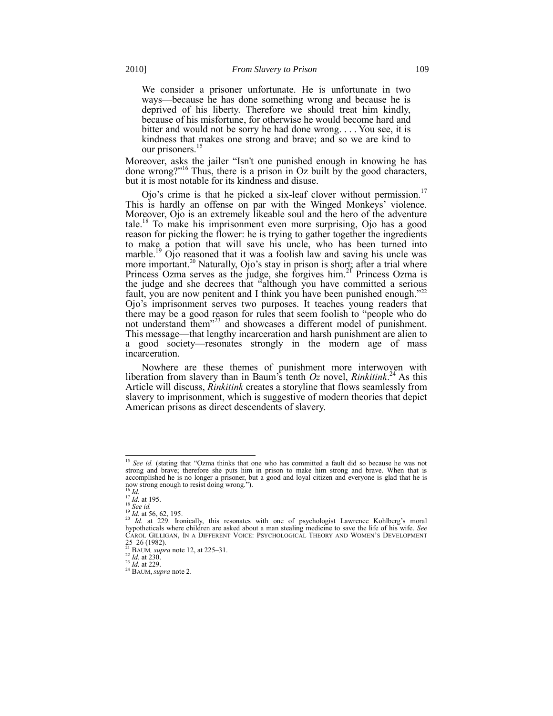We consider a prisoner unfortunate. He is unfortunate in two ways—because he has done something wrong and because he is deprived of his liberty. Therefore we should treat him kindly, because of his misfortune, for otherwise he would become hard and bitter and would not be sorry he had done wrong. . . . You see, it is kindness that makes one strong and brave; and so we are kind to our prisoners.<sup>1</sup>

Moreover, asks the jailer "Isn't one punished enough in knowing he has done wrong?"<sup>16</sup> Thus, there is a prison in Oz built by the good characters, but it is most notable for its kindness and disuse.

Ojo's crime is that he picked a six-leaf clover without permission.<sup>17</sup> This is hardly an offense on par with the Winged Monkeys' violence. Moreover, Ojo is an extremely likeable soul and the hero of the adventure tale.<sup>18</sup> To make his imprisonment even more surprising, Ojo has a good reason for picking the flower: he is trying to gather together the ingredients to make a potion that will save his uncle, who has been turned into marble.<sup>19</sup> Ojo reasoned that it was a foolish law and saving his uncle was more important.<sup>20</sup> Naturally, Ojo's stay in prison is short; after a trial where Princess Ozma serves as the judge, she forgives him.<sup>21</sup> Princess Ozma is the judge and she decrees that "although you have committed a serious fault, you are now penitent and I think you have been punished enough.<sup> $22$ </sup> Ojo's imprisonment serves two purposes. It teaches young readers that there may be a good reason for rules that seem foolish to "people who do not understand them<sup>323</sup> and showcases a different model of punishment. This message—that lengthy incarceration and harsh punishment are alien to a good society—resonates strongly in the modern age of mass incarceration.

Nowhere are these themes of punishment more interwoven with liberation from slavery than in Baum's tenth *Oz* novel, *Rinkitink*. <sup>24</sup> As this Article will discuss, *Rinkitink* creates a storyline that flows seamlessly from slavery to imprisonment, which is suggestive of modern theories that depict American prisons as direct descendents of slavery.

<sup>&</sup>lt;sup>15</sup> See id. (stating that "Ozma thinks that one who has committed a fault did so because he was not strong and brave; therefore she puts him in prison to make him strong and brave. When that is accomplished he is no longer a prisoner, but a good and loyal citizen and everyone is glad that he is now strong enough to resist doing wrong.").<br><sup>16</sup> *Id*.

 $\frac{17}{16}$  *Id.* at 195.

<sup>18</sup> *See id.*

 $\frac{19}{20}$  *Id.* at 56, 62, 195.

Id. at 229. Ironically, this resonates with one of psychologist Lawrence Kohlberg's moral hypotheticals where children are asked about a man stealing medicine to save the life of his wife. *See* CAROL GILLIGAN, IN A DIFFERENT VOICE: PSYCHOLOGICAL THEORY AND WOMEN'S DEVELOPMENT 25–26 (1982). <sup>21</sup> BAUM*, supra* not[e 12,](#page-1-0) at 225–31. <sup>22</sup> *Id.* at 230.

<sup>23</sup> *Id.* at 229.

<sup>24</sup> BAUM, *supra* note [2.](#page-0-2)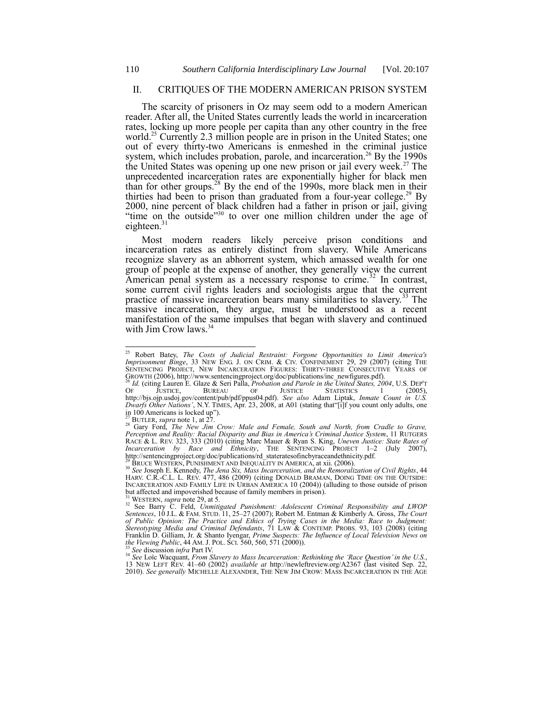## II. CRITIQUES OF THE MODERN AMERICAN PRISON SYSTEM

The scarcity of prisoners in Oz may seem odd to a modern American reader. After all, the United States currently leads the world in incarceration rates, locking up more people per capita than any other country in the free world.<sup>25</sup> Currently 2.3 million people are in prison in the United States; one out of every thirty-two Americans is enmeshed in the criminal justice system, which includes probation, parole, and incarceration.<sup>26</sup> By the 1990s the United States was opening up one new prison or jail every week.<sup>27</sup> The unprecedented incarceration rates are exponentially higher for black men than for other groups.<sup>28</sup> By the end of the 1990s, more black men in their thirties had been to prison than graduated from a four-year college.<sup>29</sup> By 2000, nine percent of black children had a father in prison or jail, giving "time on the outside"<sup>30</sup> to over one million children under the age of eighteen.<sup>3</sup>

<span id="page-3-2"></span><span id="page-3-0"></span>Most modern readers likely perceive prison conditions and incarceration rates as entirely distinct from slavery. While Americans recognize slavery as an abhorrent system, which amassed wealth for one group of people at the expense of another, they generally view the current American penal system as a necessary response to crime.<sup>32</sup> In contrast, some current civil rights leaders and sociologists argue that the current practice of massive incarceration bears many similarities to slavery.<sup>33</sup> The massive incarceration, they argue, must be understood as a recent manifestation of the same impulses that began with slavery and continued with Jim Crow laws.<sup>34</sup>

<span id="page-3-1"></span>l

<sup>33</sup> *See* discussion *infra* Part IV. <sup>34</sup> *See* Loïc Wacquant, *From Slavery to Mass Incarceration: Rethinking the 'Race Question'in the U.S.*, 13 NEW LEFT REV. 41–60 (2002) *available at* http://newleftreview.org/A2367 (last visited Sep. 22, 2010). *See generally* MICHELLE ALEXANDER, THE NEW JIM CROW: MASS INCARCERATION IN THE AGE

<sup>25</sup> Robert Batey, *The Costs of Judicial Restraint: Forgone Opportunities to Limit America's Imprisonment Binge*, 33 NEW ENG. J. ON CRIM. & CIV. CONFINEMENT 29, 29 (2007) (citing THE SENTENCING PROJECT, NEW INCARCERATION FIGURES: THIRTY-THREE CONSECUTIVE YEARS OF

GROWTH (2006), http://www.sentencingproject.org/doc/publications/inc\_newfigures.pdf). <sup>26</sup> *Id.* (citing Lauren E. Glaze & Seri Palla, *Probation and Parole in the United States, 2004*, U.S. DEP'T OF JUSTICE, BUREAU OF JUSTICE STATISTICS 1 (2005), http://bjs.ojp.usdoj.gov/content/pub/pdf/ppus04.pdf). *See also* Adam Liptak, *Inmate Count in U.S.*<br>*Dwarfs Other Nations'*, N.Y. TIMES, Apr. 23, 2008, at A01 (stating that"[i]f you count only adults, one in 100 Americans is locked up").

<sup>27</sup> BUTLER, *supra* not[e 1,](#page-0-3) at 27. <sup>28</sup> Gary Ford, *The New Jim Crow: Male and Female, South and North, from Cradle to Grave, Perception and Reality: Racial Disparity and Bias in America's Criminal Justice System*, 11 RUTGERS RACE & L. REV. 323, 333 (2010) (citing Marc Mauer & Ryan S. King, *Uneven Justice: State Rates of Incarceration by Race and Ethnicity*, THE SENTENCING PROJECT 1–2 (July 2007), http://sentencingproject.org/doc/publications/rd\_stateratesofincbyraceandethnicity.pdf.

<sup>29</sup> BRUCE WESTERN, PUNISHMENT AND INEQUALITY IN AMERICA, at xii. (2006). <sup>30</sup> *See* Joseph E. Kennedy, *The Jena Six, Mass Incarceration, and the Remoralization of Civil Rights*, 44 HARV. C.R.-C.L. L. REV. 477, 486 (2009) (citing DONALD BRAMAN, DOING TIME ON THE OUTSIDE: INCARCERATION AND FAMILY LIFE IN URBAN AMERICA 10 (2004)) (alluding to those outside of prison but affected and impoverished because of family members in prison).

<sup>31</sup> WESTERN, *supra* not[e 29,](#page-3-0) at 5.

<sup>32</sup> See Barry C. Feld, *Unmitigated Punishment: Adolescent Criminal Responsibility and LWOP Sentences*, 10 J.L. & FAM. STUD. 11, 25–27 (2007); Robert M. Entman & Kimberly A. Gross, *The Court of Public Opinion: The Practice and Ethics of Trying Cases in the Media: Race to Judgment: Stereotyping Media and Criminal Defendants*, 71 LAW & CONTEMP. PROBS. 93, 103 (2008) (citing Franklin D. Gilliam, Jr. & Shanto Iyengar, *Prime Suspects: The Influence of Local Television News on the Viewing Public*, 44 AM. J. POL. SCI. 560, 560, 571 (2000)).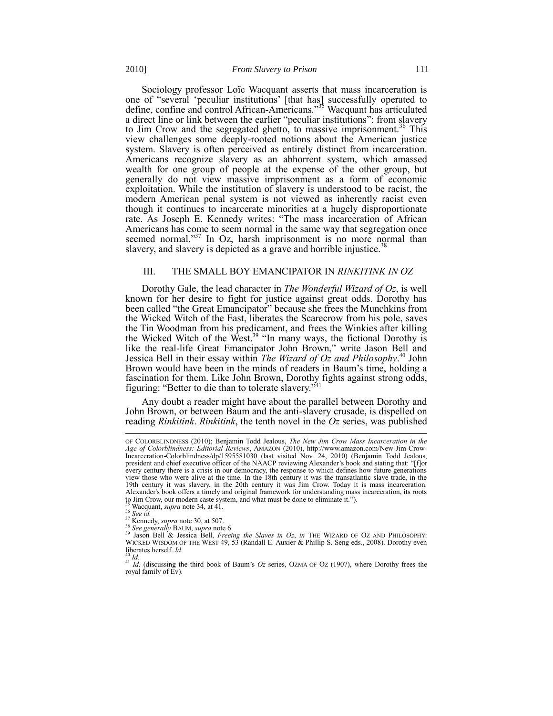Sociology professor Loïc Wacquant asserts that mass incarceration is one of "several 'peculiar institutions' [that has] successfully operated to define, confine and control African-Americans."<sup>35</sup> Wacquant has articulated a direct line or link between the earlier "peculiar institutions": from slavery to Jim Crow and the segregated ghetto, to massive imprisonment.<sup>36</sup> This view challenges some deeply-rooted notions about the American justice system. Slavery is often perceived as entirely distinct from incarceration. Americans recognize slavery as an abhorrent system, which amassed wealth for one group of people at the expense of the other group, but generally do not view massive imprisonment as a form of economic exploitation. While the institution of slavery is understood to be racist, the modern American penal system is not viewed as inherently racist even though it continues to incarcerate minorities at a hugely disproportionate rate. As Joseph E. Kennedy writes: "The mass incarceration of African Americans has come to seem normal in the same way that segregation once seemed normal.<sup>337</sup> In Oz, harsh imprisonment is no more normal than slavery, and slavery is depicted as a grave and horrible injustice.<sup>3</sup>

#### III. THE SMALL BOY EMANCIPATOR IN *RINKITINK IN OZ*

Dorothy Gale, the lead character in *The Wonderful Wizard of Oz*, is well known for her desire to fight for justice against great odds. Dorothy has been called "the Great Emancipator" because she frees the Munchkins from the Wicked Witch of the East, liberates the Scarecrow from his pole, saves the Tin Woodman from his predicament, and frees the Winkies after killing the Wicked Witch of the West.<sup>39</sup> "In many ways, the fictional Dorothy is like the real-life Great Emancipator John Brown," write Jason Bell and Jessica Bell in their essay within *The Wizard of Oz and Philosophy*. <sup>40</sup> John Brown would have been in the minds of readers in Baum's time, holding a fascination for them. Like John Brown, Dorothy fights against strong odds, figuring: "Better to die than to tolerate slavery." $41$ 

Any doubt a reader might have about the parallel between Dorothy and John Brown, or between Baum and the anti-slavery crusade, is dispelled on reading *Rinkitink*. *Rinkitink*, the tenth novel in the *Oz* series, was published

OF COLORBLINDNESS (2010); Benjamin Todd Jealous, *The New Jim Crow Mass Incarceration in the Age of Colorblindness: Editorial Reviews*, AMAZON (2010), http://www.amazon.com/New-Jim-Crow-Incarceration-Colorblindness/dp/1595581030 (last visited Nov. 24, 2010) (Benjamin Todd Jealous, president and chief executive officer of the NAACP reviewing Alexander's book and stating that: "[f]or every century there is a crisis in our democracy, the response to which defines how future generations view those who were alive at the time. In the 18th century it was the transatlantic slave trade, in the 19th century it was slavery, in the 20th century it was Jim Crow. Today it is mass incarceration. Alexander's book offers a timely and original framework for understanding mass incarceration, its roots to Jim Crow, our modern caste system, and what must be done to eliminate it.").

<sup>35</sup> Wacquant, *supra* not[e 34,](#page-3-1) at 41.

<sup>36</sup> *See id.* 

<sup>&</sup>lt;sup>37</sup> Kennedy, *supra* not[e 30,](#page-3-2) at 507.

<sup>38</sup> *See generally* BAUM, *supra* note [6.](#page-0-1)  <sup>39</sup> Jason Bell & Jessica Bell, *Freeing the Slaves in Oz*, *in* THE WIZARD OF OZ AND PHILOSOPHY: WICKED WISDOM OF THE WEST 49, 53 (Randall E. Auxier & Phillip S. Seng eds., 2008). Dorothy even liberates herself. *Id.* <sup>40</sup> *Id.*

<sup>&</sup>lt;sup>41</sup> *Id.* (discussing the third book of Baum's *Oz* series, OZMA OF OZ (1907), where Dorothy frees the royal family of Ev).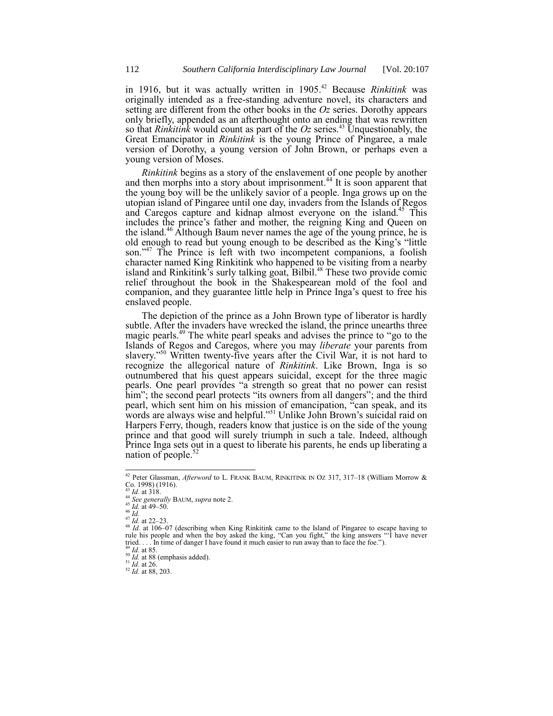in 1916, but it was actually written in 1905. <sup>42</sup> Because *Rinkitink* was originally intended as a free-standing adventure novel, its characters and setting are different from the other books in the *Oz* series. Dorothy appears only briefly, appended as an afterthought onto an ending that was rewritten so that *Rinkitink* would count as part of the *Oz* series.<sup>43</sup> Unquestionably, the Great Emancipator in *Rinkitink* is the young Prince of Pingaree, a male version of Dorothy, a young version of John Brown, or perhaps even a young version of Moses.

*Rinkitink* begins as a story of the enslavement of one people by another and then morphs into a story about imprisonment.<sup>44</sup> It is soon apparent that the young boy will be the unlikely savior of a people. Inga grows up on the utopian island of Pingaree until one day, invaders from the Islands of Regos and Caregos capture and kidnap almost everyone on the island.<sup>45</sup> This includes the prince's father and mother, the reigning King and Queen on the island.<sup>46</sup> Although Baum never names the age of the young prince, he is old enough to read but young enough to be described as the King's "little" son."<sup>47</sup> The Prince is left with two incompetent companions, a foolish character named King Rinkitink who happened to be visiting from a nearby island and Rinkitink's surly talking goat, Bilbil.<sup>48</sup> These two provide comic relief throughout the book in the Shakespearean mold of the fool and companion, and they guarantee little help in Prince Inga's quest to free his enslaved people.

The depiction of the prince as a John Brown type of liberator is hardly subtle. After the invaders have wrecked the island, the prince unearths three magic pearls.<sup>49</sup> The white pearl speaks and advises the prince to "go to the Islands of Regos and Caregos, where you may *liberate* your parents from slavery."<sup>50</sup> Written twenty-five years after the Civil War, it is not hard to recognize the allegorical nature of *Rinkitink*. Like Brown, Inga is so outnumbered that his quest appears suicidal, except for the three magic pearls. One pearl provides "a strength so great that no power can resist him"; the second pearl protects "its owners from all dangers"; and the third pearl, which sent him on his mission of emancipation, <sup>"c</sup>ean speak, and its words are always wise and helpful.<sup>551</sup> Unlike John Brown's suicidal raid on Harpers Ferry, though, readers know that justice is on the side of the young prince and that good will surely triumph in such a tale. Indeed, although Prince Inga sets out in a quest to liberate his parents, he ends up liberating a nation of people.<sup>5</sup>

<sup>42</sup> Peter Glassman, *Afterword* to L. FRANK BAUM, RINKITINK IN OZ 317, 317–18 (William Morrow &  $\frac{\text{Co. 1998}}{\text{C}}$  (1916).

*Id.* at  $318$ .

<sup>44</sup> *See generally* BAUM, *supra* note [2.](#page-0-2) 

 $45 \overline{1}$ *d.* at 49–50.

<sup>46</sup> *Id.*

 $^{47}$ *Id.* at 22–23.

<sup>&</sup>lt;sup>48</sup> *Id.* at 106–07 (describing when King Rinkitink came to the Island of Pingaree to escape having to rule his people and when the boy asked the king, "Can you fight," the king answers "I have never tried. . . . In time of danger I have found it much easier to run away than to face the foe.").<br><sup>49</sup> *Id.* at 85.

 $^{49}$  *Id.* at 85.<br><sup>50</sup> *Id.* at 88 (emphasis added).

<sup>51</sup> *Id.* at 26.

<sup>52</sup> *Id.* at 88, 203.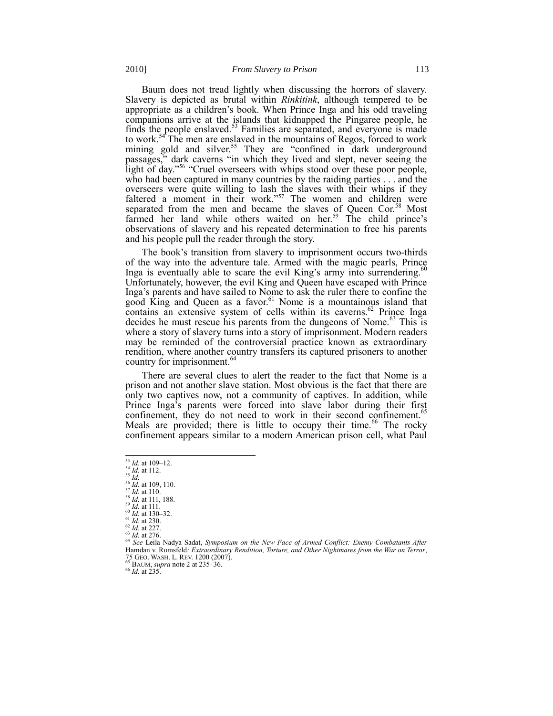Baum does not tread lightly when discussing the horrors of slavery. Slavery is depicted as brutal within *Rinkitink*, although tempered to be appropriate as a children's book. When Prince Inga and his odd traveling companions arrive at the islands that kidnapped the Pingaree people, he finds the people enslaved.<sup>53</sup> Families are separated, and everyone is made to work.<sup>54</sup> The men are enslaved in the mountains of Regos, forced to work mining gold and silver.<sup>55</sup> They are "confined in dark underground passages," dark caverns "in which they lived and slept, never seeing the light of day."<sup>56</sup> "Cruel overseers with whips stood over these poor people, who had been captured in many countries by the raiding parties . . . and the overseers were quite willing to lash the slaves with their whips if they faltered a moment in their work."<sup>57</sup> The women and children were separated from the men and became the slaves of Queen Cor.<sup>58</sup> Most farmed her land while others waited on her.<sup>59</sup> The child prince's observations of slavery and his repeated determination to free his parents and his people pull the reader through the story.

The book's transition from slavery to imprisonment occurs two-thirds of the way into the adventure tale. Armed with the magic pearls, Prince Inga is eventually able to scare the evil King's army into surrendering.<sup>6</sup> Unfortunately, however, the evil King and Queen have escaped with Prince Inga's parents and have sailed to Nome to ask the ruler there to confine the good King and Queen as a favor.<sup>61</sup> Nome is a mountainous island that contains an extensive system of cells within its caverns.<sup>62</sup> Prince Inga decides he must rescue his parents from the dungeons of Nome.<sup>63</sup> This is where a story of slavery turns into a story of imprisonment. Modern readers may be reminded of the controversial practice known as extraordinary rendition, where another country transfers its captured prisoners to another country for imprisonment.<sup>64</sup>

There are several clues to alert the reader to the fact that Nome is a prison and not another slave station. Most obvious is the fact that there are only two captives now, not a community of captives. In addition, while Prince Inga's parents were forced into slave labor during their first confinement, they do not need to work in their second confinement.<sup>65</sup> Meals are provided; there is little to occupy their time.<sup>66</sup> The rocky confinement appears similar to a modern American prison cell, what Paul

l

<sup>65</sup> BAUM, *supra* not[e 2](#page-0-2) at 235–36.

<sup>66</sup> *Id.* at 235.

 $\frac{53}{1}$ *Id.* at 109–12.

<sup>54</sup> *Id.* at 112.

<sup>55</sup> *Id.*

<sup>56</sup> *Id.* at 109, 110. <sup>57</sup> *Id.* at 110.

<sup>58</sup> *Id.* at 111, 188.

<sup>59</sup> *Id.* at 111.

<sup>60</sup> *Id.* at 130–32. <sup>61</sup> *Id.* at 230.

<sup>62</sup> *Id.* at 227.

<sup>63</sup> *Id.* at 276.

<sup>64</sup> *See* Leila Nadya Sadat, *Symposium on the New Face of Armed Conflict: Enemy Combatants After*  Hamdan v. Rumsfeld*: Extraordinary Rendition, Torture, and Other Nightmares from the War on Terror*, 75 GEO. WASH. L. REV. 1200 (2007).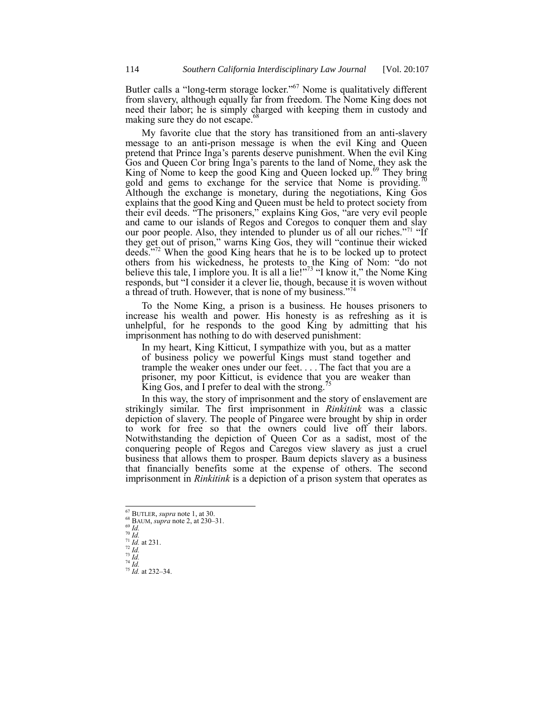Butler calls a "long-term storage locker."<sup>67</sup> Nome is qualitatively different from slavery, although equally far from freedom. The Nome King does not need their labor; he is simply charged with keeping them in custody and making sure they do not escape.<sup>68</sup>

My favorite clue that the story has transitioned from an anti-slavery message to an anti-prison message is when the evil King and Queen pretend that Prince Inga's parents deserve punishment. When the evil King Gos and Queen Cor bring Inga's parents to the land of Nome, they ask the King of Nome to keep the good King and Queen locked up.<sup>69</sup> They bring gold and gems to exchange for the service that Nome is providing.<sup>7</sup> Although the exchange is monetary, during the negotiations, King Gos explains that the good King and Queen must be held to protect society from their evil deeds. "The prisoners," explains King Gos, "are very evil people and came to our islands of Regos and Coregos to conquer them and slay our poor people. Also, they intended to plunder us of all our riches."<sup>71</sup> "If they get out of prison," warns King Gos, they will "continue their wicked deeds."<sup>72</sup> When the good King hears that he is to be locked up to protect others from his wickedness, he protests to the King of Nom: "do not believe this tale, I implore you. It is all a lie!"<sup>73</sup> "I know it," the Nome King responds, but "I consider it a clever lie, though, because it is woven without a thread of truth. However, that is none of my business."<sup>74</sup>

To the Nome King, a prison is a business. He houses prisoners to increase his wealth and power. His honesty is as refreshing as it is unhelpful, for he responds to the good King by admitting that his imprisonment has nothing to do with deserved punishment:

In my heart, King Kitticut, I sympathize with you, but as a matter of business policy we powerful Kings must stand together and trample the weaker ones under our feet. . . . The fact that you are a prisoner, my poor Kitticut, is evidence that you are weaker than King Gos, and I prefer to deal with the strong. $\overline{5}$ 

In this way, the story of imprisonment and the story of enslavement are strikingly similar. The first imprisonment in *Rinkitink* was a classic depiction of slavery. The people of Pingaree were brought by ship in order to work for free so that the owners could live off their labors. Notwithstanding the depiction of Queen Cor as a sadist, most of the conquering people of Regos and Caregos view slavery as just a cruel business that allows them to prosper. Baum depicts slavery as a business that financially benefits some at the expense of others. The second imprisonment in *Rinkitink* is a depiction of a prison system that operates as

<sup>69</sup> *Id.*  $\frac{70}{Id}$ .

l

<sup>73</sup> *Id.* <sup>74</sup> *Id.*

<sup>67</sup> BUTLER, *supra* not[e 1,](#page-0-3) at 30.

<sup>68</sup> BAUM, *supra* not[e 2,](#page-0-2) at 230–31.

 $^{71}$  *Id.* at 231.

<sup>72</sup> *Id.*

 $^{75}$  *Id.* at 232–34.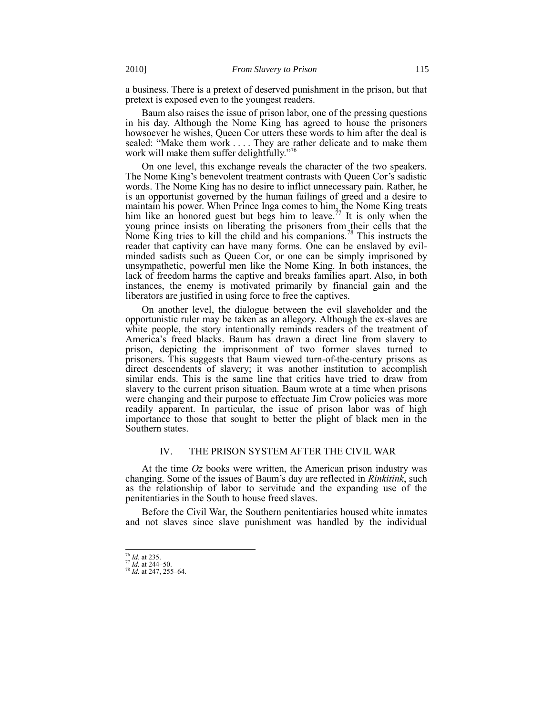a business. There is a pretext of deserved punishment in the prison, but that pretext is exposed even to the youngest readers.

Baum also raises the issue of prison labor, one of the pressing questions in his day. Although the Nome King has agreed to house the prisoners howsoever he wishes, Queen Cor utters these words to him after the deal is sealed: "Make them work  $\dots$ . They are rather delicate and to make them work will make them suffer delightfully."

On one level, this exchange reveals the character of the two speakers. The Nome King's benevolent treatment contrasts with Queen Cor's sadistic words. The Nome King has no desire to inflict unnecessary pain. Rather, he is an opportunist governed by the human failings of greed and a desire to maintain his power. When Prince Inga comes to him, the Nome King treats him like an honored guest but begs him to leave.<sup>77</sup> It is only when the young prince insists on liberating the prisoners from their cells that the Nome King tries to kill the child and his companions.<sup>78</sup> This instructs the reader that captivity can have many forms. One can be enslaved by evilminded sadists such as Queen Cor, or one can be simply imprisoned by unsympathetic, powerful men like the Nome King. In both instances, the lack of freedom harms the captive and breaks families apart. Also, in both instances, the enemy is motivated primarily by financial gain and the liberators are justified in using force to free the captives.

On another level, the dialogue between the evil slaveholder and the opportunistic ruler may be taken as an allegory. Although the ex-slaves are white people, the story intentionally reminds readers of the treatment of America's freed blacks. Baum has drawn a direct line from slavery to prison, depicting the imprisonment of two former slaves turned to prisoners. This suggests that Baum viewed turn-of-the-century prisons as direct descendents of slavery; it was another institution to accomplish similar ends. This is the same line that critics have tried to draw from slavery to the current prison situation. Baum wrote at a time when prisons were changing and their purpose to effectuate Jim Crow policies was more readily apparent. In particular, the issue of prison labor was of high importance to those that sought to better the plight of black men in the Southern states.

## IV. THE PRISON SYSTEM AFTER THE CIVIL WAR

At the time *Oz* books were written, the American prison industry was changing. Some of the issues of Baum's day are reflected in *Rinkitink*, such as the relationship of labor to servitude and the expanding use of the penitentiaries in the South to house freed slaves.

Before the Civil War, the Southern penitentiaries housed white inmates and not slaves since slave punishment was handled by the individual

 $\overline{a}$ 

<sup>76</sup> *Id.* at 235.

 $\frac{77}{1}$ *Id.* at 244–50. <sup>78</sup> *Id.* at 247, 255–64.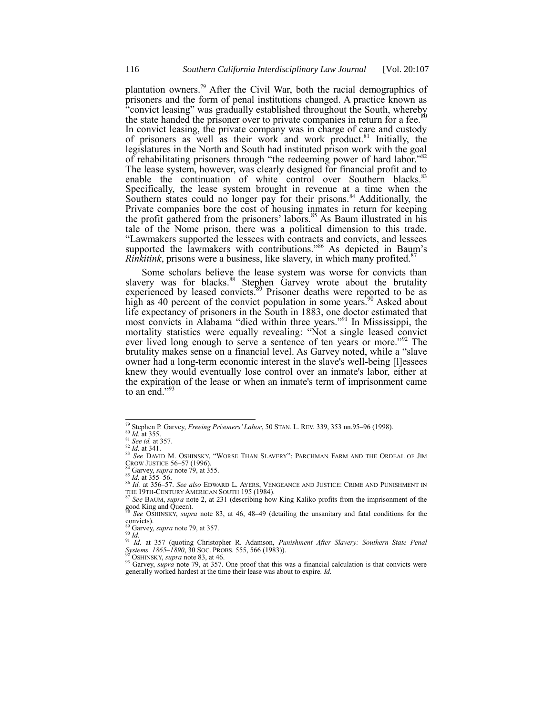<span id="page-9-1"></span><span id="page-9-0"></span>plantation owners. <sup>79</sup> After the Civil War, both the racial demographics of prisoners and the form of penal institutions changed. A practice known as "convict leasing" was gradually established throughout the South, whereby the state handed the prisoner over to private companies in return for a fee. $80$ In convict leasing, the private company was in charge of care and custody of prisoners as well as their work and work product.<sup>81</sup> Initially, the legislatures in the North and South had instituted prison work with the goal of rehabilitating prisoners through "the redeeming power of hard labor."82 The lease system, however, was clearly designed for financial profit and to enable the continuation of white control over Southern blacks.<sup>83</sup> Specifically, the lease system brought in revenue at a time when the Southern states could no longer pay for their prisons.<sup>84</sup> Additionally, the Private companies bore the cost of housing inmates in return for keeping the profit gathered from the prisoners' labors.<sup>85</sup> As Baum illustrated in his tale of the Nome prison, there was a political dimension to this trade. ―Lawmakers supported the lessees with contracts and convicts, and lessees supported the lawmakers with contributions.<sup>786</sup> As depicted in Baum's *Rinkitink*, prisons were a business, like slavery, in which many profited.<sup>8</sup>

Some scholars believe the lease system was worse for convicts than slavery was for blacks.<sup>88</sup> Stephen Garvey wrote about the brutality experienced by leased convicts.<sup>89</sup> Prisoner deaths were reported to be as high as 40 percent of the convict population in some years.<sup>90</sup> Asked about life expectancy of prisoners in the South in 1883, one doctor estimated that most convicts in Alabama "died within three years."<sup>91</sup> In Mississippi, the mortality statistics were equally revealing: "Not a single leased convict ever lived long enough to serve a sentence of ten years or more."<sup>92</sup> The brutality makes sense on a financial level. As Garvey noted, while a "slave" owner had a long-term economic interest in the slave's well-being [l]essees knew they would eventually lose control over an inmate's labor, either at the expiration of the lease or when an inmate's term of imprisonment came to an end."<sup>9</sup>

<sup>79</sup> Stephen P. Garvey, *Freeing Prisoners' Labor*, 50 STAN. L. REV. 339, 353 nn.95–96 (1998).

 $\frac{80}{10}$  *Id.* at 355. <sup>81</sup> *See id.* at 357.

<sup>82</sup> *Id.* at 341.

<sup>83</sup> See DAVID M. OSHINSKY, "WORSE THAN SLAVERY": PARCHMAN FARM AND THE ORDEAL OF JIM CROW JUSTICE 56–57 (1996).

 $4$  Garvey, *supra* note  $\overline{79}$ , at 355.

 $85$  *Id.* at 355–56.

<sup>86</sup> *Id.* at 356–57. *See also* EDWARD L. AYERS, VENGEANCE AND JUSTICE: CRIME AND PUNISHMENT IN THE 19TH-CENTURY AMERICAN SOUTH 195 (1984).<br>
THE 19TH-CENTURY AMERICAN SOUTH 195 (1984).

<sup>87</sup> *See* BAUM, *supra* not[e 2,](#page-0-2) at 231 (describing how King Kaliko profits from the imprisonment of the good King and Queen). <sup>88</sup> *See* OSHINSKY, *supra* note [83,](#page-9-1) at 46, 48–49 (detailing the unsanitary and fatal conditions for the

convicts).

Garvey, *supra* not[e 79,](#page-9-0) at 357.

<sup>90</sup> *Id.*

<sup>91</sup> *Id.* at 357 (quoting Christopher R. Adamson, *Punishment After Slavery: Southern State Penal Systems, 1865–1890*, 30 SOC. PROBS. 555, 566 (1983)). *Systems, 1865–1890,* 30 Soc. PROBS. 555, 566 (1983)).<br><sup>92</sup> OSHINSKY, *supra* not[e 83,](#page-9-1) at 46.

<sup>&</sup>lt;sup>93</sup> Garvey, *supra* note [79,](#page-9-0) at 357. One proof that this was a financial calculation is that convicts were generally worked hardest at the time their lease was about to expire. *Id.*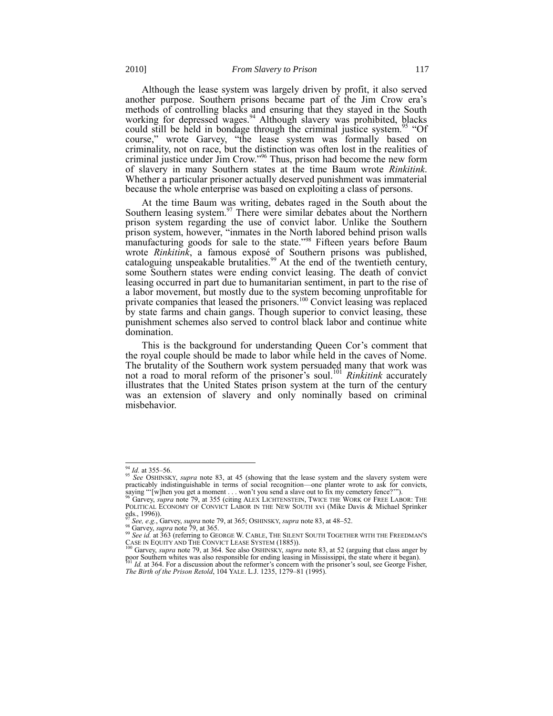Although the lease system was largely driven by profit, it also served another purpose. Southern prisons became part of the Jim Crow era's methods of controlling blacks and ensuring that they stayed in the South working for depressed wages.<sup>94</sup> Although slavery was prohibited, blacks could still be held in bondage through the criminal justice system.<sup>95</sup> "Of course," wrote Garvey, "the lease system was formally based on criminality, not on race, but the distinction was often lost in the realities of criminal justice under Jim Crow.<sup>396</sup> Thus, prison had become the new form of slavery in many Southern states at the time Baum wrote *Rinkitink*. Whether a particular prisoner actually deserved punishment was immaterial because the whole enterprise was based on exploiting a class of persons.

At the time Baum was writing, debates raged in the South about the Southern leasing system. $97$  There were similar debates about the Northern prison system regarding the use of convict labor. Unlike the Southern prison system, however, "inmates in the North labored behind prison walls manufacturing goods for sale to the state."<sup>98</sup> Fifteen years before Baum wrote *Rinkitink*, a famous exposé of Southern prisons was published, cataloguing unspeakable brutalities.<sup>99</sup> At the end of the twentieth century, some Southern states were ending convict leasing. The death of convict leasing occurred in part due to humanitarian sentiment, in part to the rise of a labor movement, but mostly due to the system becoming unprofitable for private companies that leased the prisoners.<sup>100</sup> Convict leasing was replaced by state farms and chain gangs. Though superior to convict leasing, these punishment schemes also served to control black labor and continue white domination.

This is the background for understanding Queen Cor's comment that the royal couple should be made to labor while held in the caves of Nome. The brutality of the Southern work system persuaded many that work was not a road to moral reform of the prisoner's soul.<sup>101</sup> *Rinkitink* accurately illustrates that the United States prison system at the turn of the century was an extension of slavery and only nominally based on criminal misbehavior.

<sup>94</sup> *Id.* at 355–56.

<sup>95</sup> *See* OSHINSKY, *supra* note [83,](#page-9-1) at 45 (showing that the lease system and the slavery system were practicably indistinguishable in terms of social recognition—one planter wrote to ask for convicts, saying "'[w]hen you get a moment . . . won't you send a slave out to fix my cemetery fence?'").<br><sup>96</sup> Garvey, *supra* note [79,](#page-9-0) at 355 (citing ALEX LICHTENSTEIN, TWICE THE WORK OF FREE LABOR: THE

POLITICAL ECONOMY OF CONVICT LABOR IN THE NEW SOUTH xvi (Mike Davis & Michael Sprinker eds., 1996)).

<sup>97</sup> *See, e.g.*, Garvey, *supra* not[e 79,](#page-9-0) at 365; OSHINSKY, *supra* note [83,](#page-9-1) at 48–52.

<sup>98</sup> Garvey, *supra* not[e 79,](#page-9-0) at 365.

<sup>&</sup>lt;sup>99</sup> See id. at 363 (referring to GEORGE W. CABLE, THE SILENT SOUTH TOGETHER WITH THE FREEDMAN'S CASE IN EQUITY AND THE CONVICT LEASE SYSTEM (1885)).<br>
<sup>100</sup> Garvey super note 70 = 1.264 S

<sup>&</sup>lt;sup>100</sup> Garvey, *supra* note [79,](#page-9-0) at 364. See also OSHINSKY, *supra* not[e 83,](#page-9-1) at 52 (arguing that class anger by poor Southern whites was also responsible for ending leasing in Mississippi, the state where it began).<br><sup>101</sup> *The Birth of the Prison Retold*, 104 YALE. L.J. 1235, 1279–81 (1995).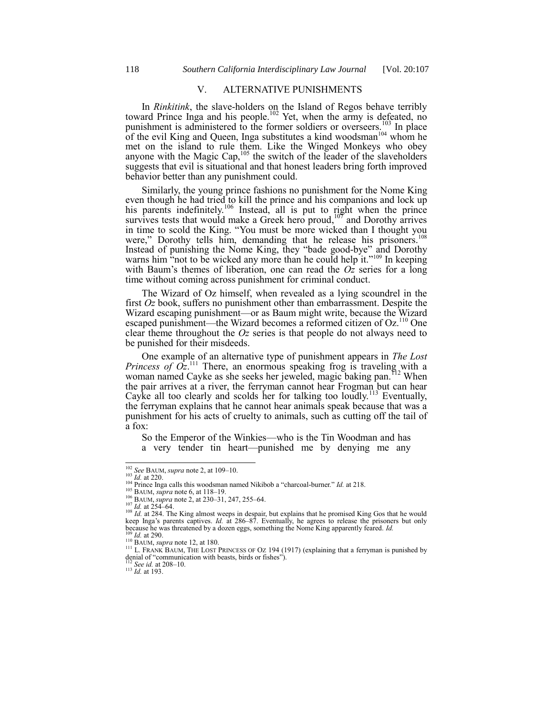## V. ALTERNATIVE PUNISHMENTS

In *Rinkitink*, the slave-holders on the Island of Regos behave terribly toward Prince Inga and his people.<sup>102</sup> Yet, when the army is defeated, no punishment is administered to the former soldiers or overseers.<sup>103</sup> In place of the evil King and Queen, Inga substitutes a kind woodsman<sup>104</sup> whom he met on the island to rule them. Like the Winged Monkeys who obey anyone with the Magic Cap,  $105$  the switch of the leader of the slaveholders suggests that evil is situational and that honest leaders bring forth improved behavior better than any punishment could.

Similarly, the young prince fashions no punishment for the Nome King even though he had tried to kill the prince and his companions and lock up his parents indefinitely.<sup>106</sup> Instead, all is put to right when the prince survives tests that would make a Greek hero  $prod_{i=1}^{107}$  and Dorothy arrives in time to scold the King. "You must be more wicked than I thought you were," Dorothy tells him, demanding that he release his prisoners.<sup>1</sup> Instead of punishing the Nome King, they "bade good-bye" and Dorothy warns him  $\cdot$  not to be wicked any more than he could help it.<sup> $109$ </sup> In keeping with Baum's themes of liberation, one can read the  $\overline{Oz}$  series for a long time without coming across punishment for criminal conduct.

The Wizard of Oz himself, when revealed as a lying scoundrel in the first *Oz* book, suffers no punishment other than embarrassment. Despite the Wizard escaping punishment—or as Baum might write, because the Wizard escaped punishment—the Wizard becomes a reformed citizen of Oz.<sup>110</sup> One clear theme throughout the *Oz* series is that people do not always need to be punished for their misdeeds.

One example of an alternative type of punishment appears in *The Lost Princess of*  $Oz$ <sup>111</sup> There, an enormous speaking frog is traveling with a woman named Cayke as she seeks her jeweled, magic baking pan.<sup>112</sup> When the pair arrives at a river, the ferryman cannot hear Frogman but can hear Cayke all too clearly and scolds her for talking too loudly.<sup>113</sup> Eventually, the ferryman explains that he cannot hear animals speak because that was a punishment for his acts of cruelty to animals, such as cutting off the tail of a fox:

So the Emperor of the Winkies—who is the Tin Woodman and has a very tender tin heart—punished me by denying me any

l

<sup>112</sup> *See id.* at 208–10.

<sup>113</sup> *Id.* at 193.

<sup>102</sup> *See* BAUM, *supra* not[e 2,](#page-0-2) at 109–10.

<sup>103</sup> *Id.* at 220.

 $\frac{104}{20}$  Prince Inga calls this woodsman named Nikibob a "charcoal-burner." *Id.* at 218.

<sup>105</sup> BAUM, *supra* not[e 6,](#page-0-1) at 118–19.

<sup>106</sup> BAUM, *supra* not[e 2,](#page-0-2) at 230–31, 247, 255–64.

<sup>&</sup>lt;sup>107</sup> *Id.* at 254–64.<br><sup>108</sup> *Id.* at 284. The King almost weeps in despair, but explains that he promised King Gos that he would keep Inga's parents captives. *Id.* at 286–87. Eventually, he agrees to release the prisoners but only because he was threatened by a dozen eggs, something the Nome King apparently feared. *Id.* <sup>109</sup> *Id.* at 290.

<sup>110</sup> BAUM, *supra* not[e 12,](#page-1-0) at 180.

<sup>&</sup>lt;sup>111</sup> L. FRANK BAUM, THE LOST PRINCESS OF OZ 194 (1917) (explaining that a ferryman is punished by denial of "communication with beasts, birds or fishes").